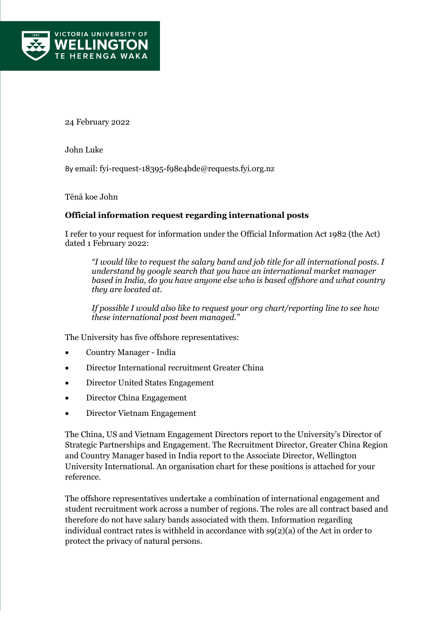

24 February 2022

John Luke

By email: [fyi-request-18395-f98e4bde@requests.fyi.org.nz](mailto:xxxxxxxxxxxxxxxxxxxxxxxxxx@xxxxxxxx.xxx.xxx.xx)

Tēnā koe John

## **Official information request regarding international posts**

I refer to your request for information under the Official Information Act 1982 (the Act) dated 1 February 2022:

*"I would like to request the salary band and job title for all international posts. I understand by google search that you have an international market manager based in India, do you have anyone else who is based offshore and what country they are located at.* 

*If possible I would also like to request your org chart/reporting line to see how these international post been managed."*

The University has five offshore representatives:

- Country Manager India
- Director International recruitment Greater China
- Director United States Engagement
- Director China Engagement
- Director Vietnam Engagement

The China, US and Vietnam Engagement Directors report to the University's Director of Strategic Partnerships and Engagement. The Recruitment Director, Greater China Region and Country Manager based in India report to the Associate Director, Wellington University International. An organisation chart for these positions is attached for your reference.

The offshore representatives undertake a combination of international engagement and student recruitment work across a number of regions. The roles are all contract based and therefore do not have salary bands associated with them. Information regarding individual contract rates is withheld in accordance with  $\mathfrak{so}(2)(a)$  of the Act in order to protect the privacy of natural persons.